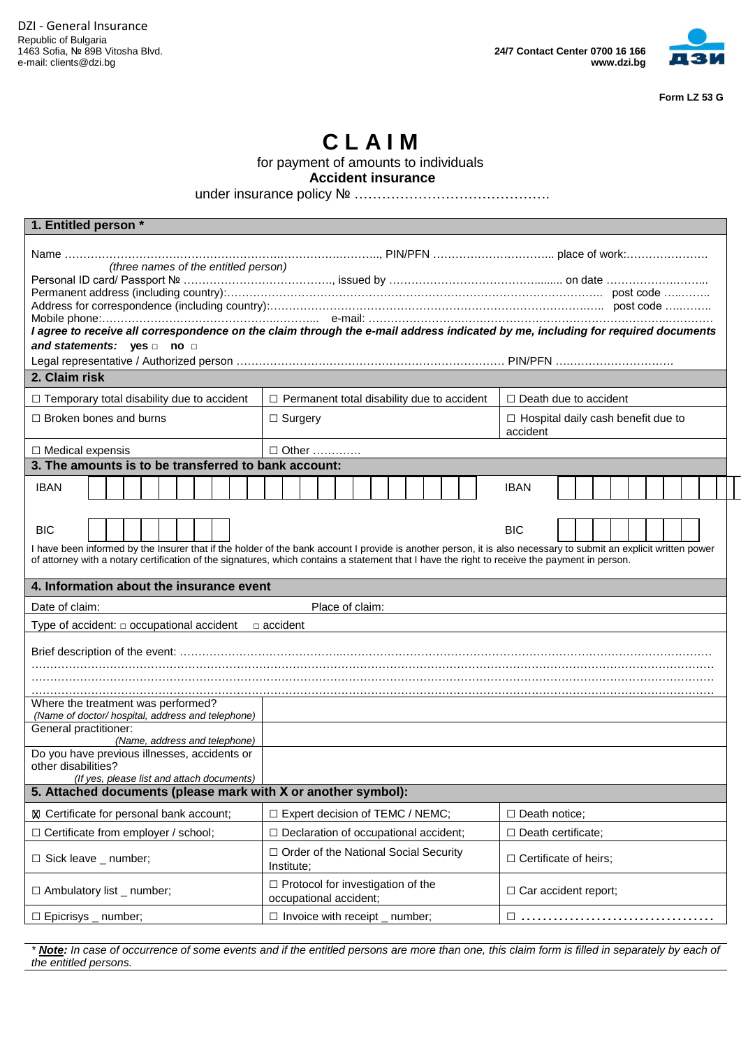

**Form LZ 53 G**

## **C L A I M**

for payment of amounts to individuals

**Accident insurance** 

under insurance policy № …………………………………….

| (three names of the entitled person)<br>I agree to receive all correspondence on the claim through the e-mail address indicated by me, including for required documents<br>and statements: $yes \Box$ no $\Box$<br>2. Claim risk<br>$\Box$ Permanent total disability due to accident<br>$\Box$ Temporary total disability due to accident<br>$\Box$ Death due to accident<br>$\Box$ Broken bones and burns<br>□ Surgery<br>□ Hospital daily cash benefit due to<br>accident<br>$\Box$ Medical expensis<br>$\Box$ Other<br>3. The amounts is to be transferred to bank account:<br><b>IBAN</b><br><b>IBAN</b><br><b>BIC</b><br><b>BIC</b><br>I have been informed by the Insurer that if the holder of the bank account I provide is another person, it is also necessary to submit an explicit written power<br>of attorney with a notary certification of the signatures, which contains a statement that I have the right to receive the payment in person.<br>4. Information about the insurance event<br>Place of claim:<br>Date of claim:<br>Type of accident: $\Box$ occupational accident<br>$\Box$ accident<br>Where the treatment was performed?<br>(Name of doctor/ hospital, address and telephone)<br>General practitioner:<br>(Name, address and telephone)<br>Do you have previous illnesses, accidents or<br>other disabilities?<br>(If yes, please list and attach documents)<br>5. Attached documents (please mark with X or another symbol):<br><b>X</b> Certificate for personal bank account;<br>□ Expert decision of TEMC / NEMC;<br>$\square$ Death notice;<br>□ Certificate from employer / school;<br>$\Box$ Declaration of occupational accident;<br>$\Box$ Death certificate;<br>□ Order of the National Social Security<br>$\Box$ Certificate of heirs;<br>$\Box$ Sick leave _ number;<br>Institute;<br>$\Box$ Protocol for investigation of the<br>$\Box$ Car accident report;<br>$\Box$ Ambulatory list _ number;<br>occupational accident;<br>$\Box$ Invoice with receipt _ number;<br>$\Box$ Epicrisys _ number;<br>□ | 1. Entitled person * |  |  |  |  |  |  |  |  |  |  |  |  |  |  |  |  |  |  |  |  |  |  |  |  |  |  |  |
|-------------------------------------------------------------------------------------------------------------------------------------------------------------------------------------------------------------------------------------------------------------------------------------------------------------------------------------------------------------------------------------------------------------------------------------------------------------------------------------------------------------------------------------------------------------------------------------------------------------------------------------------------------------------------------------------------------------------------------------------------------------------------------------------------------------------------------------------------------------------------------------------------------------------------------------------------------------------------------------------------------------------------------------------------------------------------------------------------------------------------------------------------------------------------------------------------------------------------------------------------------------------------------------------------------------------------------------------------------------------------------------------------------------------------------------------------------------------------------------------------------------------------------------------------------------------------------------------------------------------------------------------------------------------------------------------------------------------------------------------------------------------------------------------------------------------------------------------------------------------------------------------------------------------------------------------------------------------------------------------------------------------------------------------------------|----------------------|--|--|--|--|--|--|--|--|--|--|--|--|--|--|--|--|--|--|--|--|--|--|--|--|--|--|--|
|                                                                                                                                                                                                                                                                                                                                                                                                                                                                                                                                                                                                                                                                                                                                                                                                                                                                                                                                                                                                                                                                                                                                                                                                                                                                                                                                                                                                                                                                                                                                                                                                                                                                                                                                                                                                                                                                                                                                                                                                                                                       |                      |  |  |  |  |  |  |  |  |  |  |  |  |  |  |  |  |  |  |  |  |  |  |  |  |  |  |  |
|                                                                                                                                                                                                                                                                                                                                                                                                                                                                                                                                                                                                                                                                                                                                                                                                                                                                                                                                                                                                                                                                                                                                                                                                                                                                                                                                                                                                                                                                                                                                                                                                                                                                                                                                                                                                                                                                                                                                                                                                                                                       |                      |  |  |  |  |  |  |  |  |  |  |  |  |  |  |  |  |  |  |  |  |  |  |  |  |  |  |  |
|                                                                                                                                                                                                                                                                                                                                                                                                                                                                                                                                                                                                                                                                                                                                                                                                                                                                                                                                                                                                                                                                                                                                                                                                                                                                                                                                                                                                                                                                                                                                                                                                                                                                                                                                                                                                                                                                                                                                                                                                                                                       |                      |  |  |  |  |  |  |  |  |  |  |  |  |  |  |  |  |  |  |  |  |  |  |  |  |  |  |  |
|                                                                                                                                                                                                                                                                                                                                                                                                                                                                                                                                                                                                                                                                                                                                                                                                                                                                                                                                                                                                                                                                                                                                                                                                                                                                                                                                                                                                                                                                                                                                                                                                                                                                                                                                                                                                                                                                                                                                                                                                                                                       |                      |  |  |  |  |  |  |  |  |  |  |  |  |  |  |  |  |  |  |  |  |  |  |  |  |  |  |  |
|                                                                                                                                                                                                                                                                                                                                                                                                                                                                                                                                                                                                                                                                                                                                                                                                                                                                                                                                                                                                                                                                                                                                                                                                                                                                                                                                                                                                                                                                                                                                                                                                                                                                                                                                                                                                                                                                                                                                                                                                                                                       |                      |  |  |  |  |  |  |  |  |  |  |  |  |  |  |  |  |  |  |  |  |  |  |  |  |  |  |  |
|                                                                                                                                                                                                                                                                                                                                                                                                                                                                                                                                                                                                                                                                                                                                                                                                                                                                                                                                                                                                                                                                                                                                                                                                                                                                                                                                                                                                                                                                                                                                                                                                                                                                                                                                                                                                                                                                                                                                                                                                                                                       |                      |  |  |  |  |  |  |  |  |  |  |  |  |  |  |  |  |  |  |  |  |  |  |  |  |  |  |  |
|                                                                                                                                                                                                                                                                                                                                                                                                                                                                                                                                                                                                                                                                                                                                                                                                                                                                                                                                                                                                                                                                                                                                                                                                                                                                                                                                                                                                                                                                                                                                                                                                                                                                                                                                                                                                                                                                                                                                                                                                                                                       |                      |  |  |  |  |  |  |  |  |  |  |  |  |  |  |  |  |  |  |  |  |  |  |  |  |  |  |  |
|                                                                                                                                                                                                                                                                                                                                                                                                                                                                                                                                                                                                                                                                                                                                                                                                                                                                                                                                                                                                                                                                                                                                                                                                                                                                                                                                                                                                                                                                                                                                                                                                                                                                                                                                                                                                                                                                                                                                                                                                                                                       |                      |  |  |  |  |  |  |  |  |  |  |  |  |  |  |  |  |  |  |  |  |  |  |  |  |  |  |  |
|                                                                                                                                                                                                                                                                                                                                                                                                                                                                                                                                                                                                                                                                                                                                                                                                                                                                                                                                                                                                                                                                                                                                                                                                                                                                                                                                                                                                                                                                                                                                                                                                                                                                                                                                                                                                                                                                                                                                                                                                                                                       |                      |  |  |  |  |  |  |  |  |  |  |  |  |  |  |  |  |  |  |  |  |  |  |  |  |  |  |  |
|                                                                                                                                                                                                                                                                                                                                                                                                                                                                                                                                                                                                                                                                                                                                                                                                                                                                                                                                                                                                                                                                                                                                                                                                                                                                                                                                                                                                                                                                                                                                                                                                                                                                                                                                                                                                                                                                                                                                                                                                                                                       |                      |  |  |  |  |  |  |  |  |  |  |  |  |  |  |  |  |  |  |  |  |  |  |  |  |  |  |  |
|                                                                                                                                                                                                                                                                                                                                                                                                                                                                                                                                                                                                                                                                                                                                                                                                                                                                                                                                                                                                                                                                                                                                                                                                                                                                                                                                                                                                                                                                                                                                                                                                                                                                                                                                                                                                                                                                                                                                                                                                                                                       |                      |  |  |  |  |  |  |  |  |  |  |  |  |  |  |  |  |  |  |  |  |  |  |  |  |  |  |  |
|                                                                                                                                                                                                                                                                                                                                                                                                                                                                                                                                                                                                                                                                                                                                                                                                                                                                                                                                                                                                                                                                                                                                                                                                                                                                                                                                                                                                                                                                                                                                                                                                                                                                                                                                                                                                                                                                                                                                                                                                                                                       |                      |  |  |  |  |  |  |  |  |  |  |  |  |  |  |  |  |  |  |  |  |  |  |  |  |  |  |  |
|                                                                                                                                                                                                                                                                                                                                                                                                                                                                                                                                                                                                                                                                                                                                                                                                                                                                                                                                                                                                                                                                                                                                                                                                                                                                                                                                                                                                                                                                                                                                                                                                                                                                                                                                                                                                                                                                                                                                                                                                                                                       |                      |  |  |  |  |  |  |  |  |  |  |  |  |  |  |  |  |  |  |  |  |  |  |  |  |  |  |  |
|                                                                                                                                                                                                                                                                                                                                                                                                                                                                                                                                                                                                                                                                                                                                                                                                                                                                                                                                                                                                                                                                                                                                                                                                                                                                                                                                                                                                                                                                                                                                                                                                                                                                                                                                                                                                                                                                                                                                                                                                                                                       |                      |  |  |  |  |  |  |  |  |  |  |  |  |  |  |  |  |  |  |  |  |  |  |  |  |  |  |  |
|                                                                                                                                                                                                                                                                                                                                                                                                                                                                                                                                                                                                                                                                                                                                                                                                                                                                                                                                                                                                                                                                                                                                                                                                                                                                                                                                                                                                                                                                                                                                                                                                                                                                                                                                                                                                                                                                                                                                                                                                                                                       |                      |  |  |  |  |  |  |  |  |  |  |  |  |  |  |  |  |  |  |  |  |  |  |  |  |  |  |  |
|                                                                                                                                                                                                                                                                                                                                                                                                                                                                                                                                                                                                                                                                                                                                                                                                                                                                                                                                                                                                                                                                                                                                                                                                                                                                                                                                                                                                                                                                                                                                                                                                                                                                                                                                                                                                                                                                                                                                                                                                                                                       |                      |  |  |  |  |  |  |  |  |  |  |  |  |  |  |  |  |  |  |  |  |  |  |  |  |  |  |  |
|                                                                                                                                                                                                                                                                                                                                                                                                                                                                                                                                                                                                                                                                                                                                                                                                                                                                                                                                                                                                                                                                                                                                                                                                                                                                                                                                                                                                                                                                                                                                                                                                                                                                                                                                                                                                                                                                                                                                                                                                                                                       |                      |  |  |  |  |  |  |  |  |  |  |  |  |  |  |  |  |  |  |  |  |  |  |  |  |  |  |  |
|                                                                                                                                                                                                                                                                                                                                                                                                                                                                                                                                                                                                                                                                                                                                                                                                                                                                                                                                                                                                                                                                                                                                                                                                                                                                                                                                                                                                                                                                                                                                                                                                                                                                                                                                                                                                                                                                                                                                                                                                                                                       |                      |  |  |  |  |  |  |  |  |  |  |  |  |  |  |  |  |  |  |  |  |  |  |  |  |  |  |  |
|                                                                                                                                                                                                                                                                                                                                                                                                                                                                                                                                                                                                                                                                                                                                                                                                                                                                                                                                                                                                                                                                                                                                                                                                                                                                                                                                                                                                                                                                                                                                                                                                                                                                                                                                                                                                                                                                                                                                                                                                                                                       |                      |  |  |  |  |  |  |  |  |  |  |  |  |  |  |  |  |  |  |  |  |  |  |  |  |  |  |  |
|                                                                                                                                                                                                                                                                                                                                                                                                                                                                                                                                                                                                                                                                                                                                                                                                                                                                                                                                                                                                                                                                                                                                                                                                                                                                                                                                                                                                                                                                                                                                                                                                                                                                                                                                                                                                                                                                                                                                                                                                                                                       |                      |  |  |  |  |  |  |  |  |  |  |  |  |  |  |  |  |  |  |  |  |  |  |  |  |  |  |  |
|                                                                                                                                                                                                                                                                                                                                                                                                                                                                                                                                                                                                                                                                                                                                                                                                                                                                                                                                                                                                                                                                                                                                                                                                                                                                                                                                                                                                                                                                                                                                                                                                                                                                                                                                                                                                                                                                                                                                                                                                                                                       |                      |  |  |  |  |  |  |  |  |  |  |  |  |  |  |  |  |  |  |  |  |  |  |  |  |  |  |  |
|                                                                                                                                                                                                                                                                                                                                                                                                                                                                                                                                                                                                                                                                                                                                                                                                                                                                                                                                                                                                                                                                                                                                                                                                                                                                                                                                                                                                                                                                                                                                                                                                                                                                                                                                                                                                                                                                                                                                                                                                                                                       |                      |  |  |  |  |  |  |  |  |  |  |  |  |  |  |  |  |  |  |  |  |  |  |  |  |  |  |  |
|                                                                                                                                                                                                                                                                                                                                                                                                                                                                                                                                                                                                                                                                                                                                                                                                                                                                                                                                                                                                                                                                                                                                                                                                                                                                                                                                                                                                                                                                                                                                                                                                                                                                                                                                                                                                                                                                                                                                                                                                                                                       |                      |  |  |  |  |  |  |  |  |  |  |  |  |  |  |  |  |  |  |  |  |  |  |  |  |  |  |  |
|                                                                                                                                                                                                                                                                                                                                                                                                                                                                                                                                                                                                                                                                                                                                                                                                                                                                                                                                                                                                                                                                                                                                                                                                                                                                                                                                                                                                                                                                                                                                                                                                                                                                                                                                                                                                                                                                                                                                                                                                                                                       |                      |  |  |  |  |  |  |  |  |  |  |  |  |  |  |  |  |  |  |  |  |  |  |  |  |  |  |  |
|                                                                                                                                                                                                                                                                                                                                                                                                                                                                                                                                                                                                                                                                                                                                                                                                                                                                                                                                                                                                                                                                                                                                                                                                                                                                                                                                                                                                                                                                                                                                                                                                                                                                                                                                                                                                                                                                                                                                                                                                                                                       |                      |  |  |  |  |  |  |  |  |  |  |  |  |  |  |  |  |  |  |  |  |  |  |  |  |  |  |  |
|                                                                                                                                                                                                                                                                                                                                                                                                                                                                                                                                                                                                                                                                                                                                                                                                                                                                                                                                                                                                                                                                                                                                                                                                                                                                                                                                                                                                                                                                                                                                                                                                                                                                                                                                                                                                                                                                                                                                                                                                                                                       |                      |  |  |  |  |  |  |  |  |  |  |  |  |  |  |  |  |  |  |  |  |  |  |  |  |  |  |  |
|                                                                                                                                                                                                                                                                                                                                                                                                                                                                                                                                                                                                                                                                                                                                                                                                                                                                                                                                                                                                                                                                                                                                                                                                                                                                                                                                                                                                                                                                                                                                                                                                                                                                                                                                                                                                                                                                                                                                                                                                                                                       |                      |  |  |  |  |  |  |  |  |  |  |  |  |  |  |  |  |  |  |  |  |  |  |  |  |  |  |  |
|                                                                                                                                                                                                                                                                                                                                                                                                                                                                                                                                                                                                                                                                                                                                                                                                                                                                                                                                                                                                                                                                                                                                                                                                                                                                                                                                                                                                                                                                                                                                                                                                                                                                                                                                                                                                                                                                                                                                                                                                                                                       |                      |  |  |  |  |  |  |  |  |  |  |  |  |  |  |  |  |  |  |  |  |  |  |  |  |  |  |  |
|                                                                                                                                                                                                                                                                                                                                                                                                                                                                                                                                                                                                                                                                                                                                                                                                                                                                                                                                                                                                                                                                                                                                                                                                                                                                                                                                                                                                                                                                                                                                                                                                                                                                                                                                                                                                                                                                                                                                                                                                                                                       |                      |  |  |  |  |  |  |  |  |  |  |  |  |  |  |  |  |  |  |  |  |  |  |  |  |  |  |  |
|                                                                                                                                                                                                                                                                                                                                                                                                                                                                                                                                                                                                                                                                                                                                                                                                                                                                                                                                                                                                                                                                                                                                                                                                                                                                                                                                                                                                                                                                                                                                                                                                                                                                                                                                                                                                                                                                                                                                                                                                                                                       |                      |  |  |  |  |  |  |  |  |  |  |  |  |  |  |  |  |  |  |  |  |  |  |  |  |  |  |  |
|                                                                                                                                                                                                                                                                                                                                                                                                                                                                                                                                                                                                                                                                                                                                                                                                                                                                                                                                                                                                                                                                                                                                                                                                                                                                                                                                                                                                                                                                                                                                                                                                                                                                                                                                                                                                                                                                                                                                                                                                                                                       |                      |  |  |  |  |  |  |  |  |  |  |  |  |  |  |  |  |  |  |  |  |  |  |  |  |  |  |  |

*\* Note: In case of occurrence of some events and if the entitled persons are more than one, this claim form is filled in separately by each of the entitled persons.*